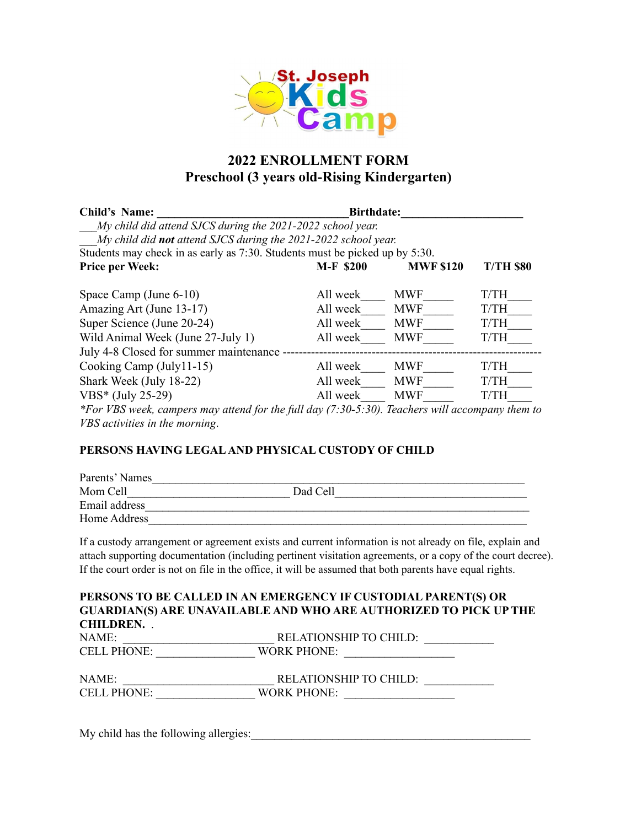

# **2022 ENROLLMENT FORM Preschool (3 years old-Rising Kindergarten)**

| Child's Name:                                                                                   | <b>Birthdate:</b> |                  |                  |
|-------------------------------------------------------------------------------------------------|-------------------|------------------|------------------|
| My child did attend SJCS during the 2021-2022 school year.                                      |                   |                  |                  |
| My child did <b>not</b> attend SJCS during the 2021-2022 school year.                           |                   |                  |                  |
| Students may check in as early as 7:30. Students must be picked up by 5:30.                     |                   |                  |                  |
| <b>Price per Week:</b>                                                                          | <b>M-F \$200</b>  | <b>MWF \$120</b> | <b>T/TH \$80</b> |
| Space Camp (June 6-10)                                                                          | All week          | <b>MWF</b>       | <b>T/TH</b>      |
| Amazing Art (June 13-17)                                                                        | All week          | <b>MWF</b>       | T/TH             |
| Super Science (June 20-24)                                                                      | All week          | <b>MWF</b>       | T/TH             |
| Wild Animal Week (June 27-July 1)                                                               | All week          | <b>MWF</b>       | T/TH             |
| July 4-8 Closed for summer maintenance -                                                        |                   |                  |                  |
| Cooking Camp (July11-15)                                                                        | All week          | <b>MWF</b>       | T/TH             |
| Shark Week (July 18-22)                                                                         | All week          | <b>MWF</b>       | T/TH             |
| VBS* (July 25-29)                                                                               | All week          | <b>MWF</b>       | T/TH             |
| *For VBS week, campers may attend for the full day (7:30-5:30). Teachers will accompany them to |                   |                  |                  |

*VBS activities in the morning*.

### **PERSONS HAVING LEGALAND PHYSICAL CUSTODY OF CHILD**

| Parents' Names |          |  |
|----------------|----------|--|
| Mom Cell       | Dad Cell |  |
| Email address  |          |  |
| Home Address   |          |  |

If a custody arrangement or agreement exists and current information is not already on file, explain and attach supporting documentation (including pertinent visitation agreements, or a copy of the court decree). If the court order is not on file in the office, it will be assumed that both parents have equal rights.

|                    | PERSONS TO BE CALLED IN AN EMERGENCY IF CUSTODIAL PARENT(S) OR    |
|--------------------|-------------------------------------------------------------------|
|                    | GUARDIAN(S) ARE UNAVAILABLE AND WHO ARE AUTHORIZED TO PICK UP THE |
| <b>CHILDREN.</b>   |                                                                   |
| NAME:              | RELATIONSHIP TO CHILD:                                            |
| <b>CELL PHONE:</b> | <b>WORK PHONE:</b>                                                |
| NAME:              | RELATIONSHIP TO CHILD:                                            |
| <b>CELL PHONE:</b> | <b>WORK PHONE:</b>                                                |
|                    |                                                                   |
|                    |                                                                   |

My child has the following allergies:\_\_\_\_\_\_\_\_\_\_\_\_\_\_\_\_\_\_\_\_\_\_\_\_\_\_\_\_\_\_\_\_\_\_\_\_\_\_\_\_\_\_\_\_\_\_\_\_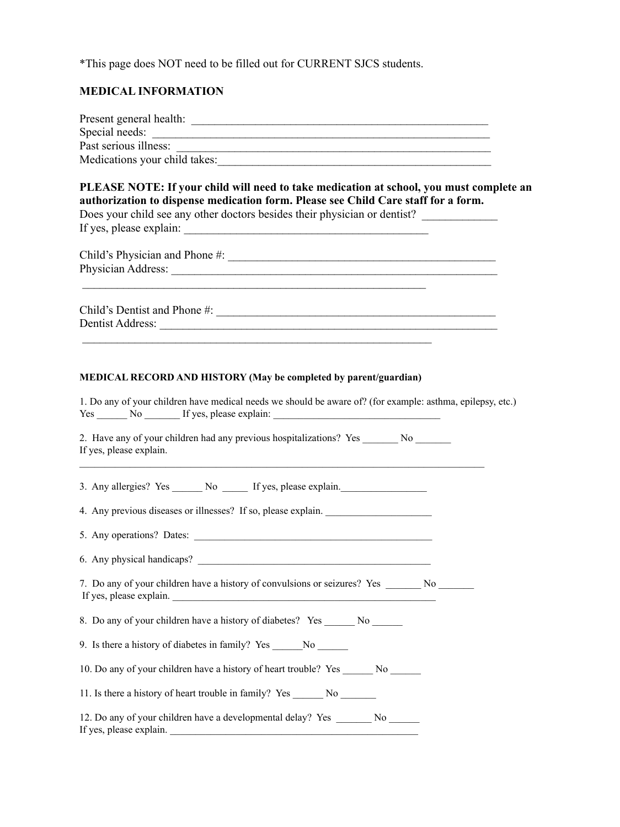\*This page does NOT need to be filled out for CURRENT SJCS students.

## **MEDICAL INFORMATION**

| Medications your child takes:                                                                                                                                                                                                                                       |  |  |  |  |
|---------------------------------------------------------------------------------------------------------------------------------------------------------------------------------------------------------------------------------------------------------------------|--|--|--|--|
| PLEASE NOTE: If your child will need to take medication at school, you must complete an<br>authorization to dispense medication form. Please see Child Care staff for a form.<br>Does your child see any other doctors besides their physician or dentist?          |  |  |  |  |
|                                                                                                                                                                                                                                                                     |  |  |  |  |
|                                                                                                                                                                                                                                                                     |  |  |  |  |
| MEDICAL RECORD AND HISTORY (May be completed by parent/guardian)<br>1. Do any of your children have medical needs we should be aware of? (for example: asthma, epilepsy, etc.)<br>Yes ________ No __________ If yes, please explain: ______________________________ |  |  |  |  |
| 2. Have any of your children had any previous hospitalizations? Yes ________ No _______<br>If yes, please explain.                                                                                                                                                  |  |  |  |  |
| 3. Any allergies? Yes _______ No ______ If yes, please explain.                                                                                                                                                                                                     |  |  |  |  |
| 4. Any previous diseases or illnesses? If so, please explain. ___________________                                                                                                                                                                                   |  |  |  |  |
|                                                                                                                                                                                                                                                                     |  |  |  |  |
| 6. Any physical handicaps?                                                                                                                                                                                                                                          |  |  |  |  |
| 7. Do any of your children have a history of convulsions or seizures? Yes _______ No _______<br>If yes, please explain.<br><u> 1989 - Johann Barn, mars ann an t-Amhain an t-Amhain an t-Amhain an t-Amhain an t-Amhain an t-Amhain an t-Amh</u>                    |  |  |  |  |
| 8. Do any of your children have a history of diabetes? Yes _______ No _______                                                                                                                                                                                       |  |  |  |  |
| 9. Is there a history of diabetes in family? Yes ________________________________                                                                                                                                                                                   |  |  |  |  |
| 10. Do any of your children have a history of heart trouble? Yes _______ No ______                                                                                                                                                                                  |  |  |  |  |
| 11. Is there a history of heart trouble in family? Yes __________________________                                                                                                                                                                                   |  |  |  |  |
| 12. Do any of your children have a developmental delay? Yes ________ No _______<br>If yes, please explain.                                                                                                                                                          |  |  |  |  |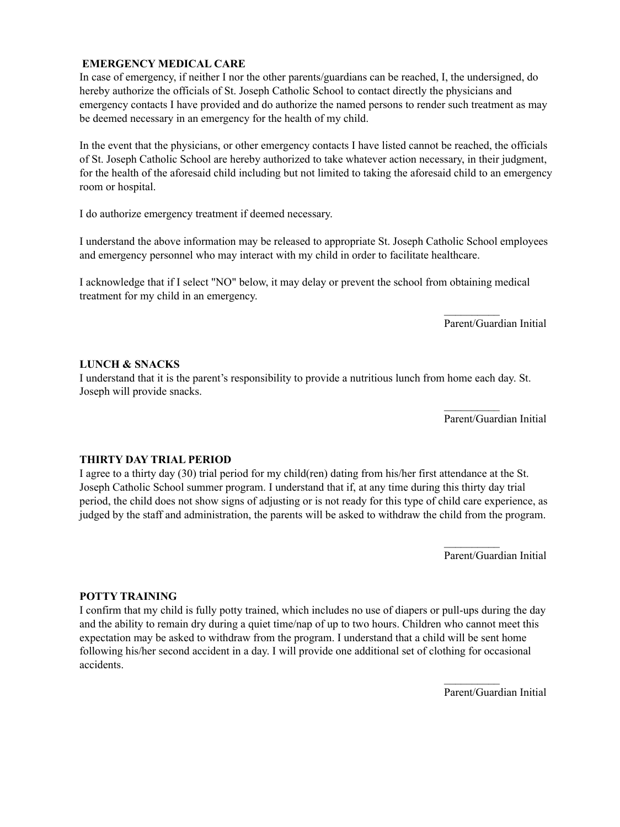#### **EMERGENCY MEDICAL CARE**

In case of emergency, if neither I nor the other parents/guardians can be reached, I, the undersigned, do hereby authorize the officials of St. Joseph Catholic School to contact directly the physicians and emergency contacts I have provided and do authorize the named persons to render such treatment as may be deemed necessary in an emergency for the health of my child.

In the event that the physicians, or other emergency contacts I have listed cannot be reached, the officials of St. Joseph Catholic School are hereby authorized to take whatever action necessary, in their judgment, for the health of the aforesaid child including but not limited to taking the aforesaid child to an emergency room or hospital.

I do authorize emergency treatment if deemed necessary.

I understand the above information may be released to appropriate St. Joseph Catholic School employees and emergency personnel who may interact with my child in order to facilitate healthcare.

I acknowledge that if I select "NO" below, it may delay or prevent the school from obtaining medical treatment for my child in an emergency.

Parent/Guardian Initial

 $\frac{1}{2}$ 

 $\mathcal{L}_\text{max}$ 

#### **LUNCH & SNACKS**

I understand that it is the parent's responsibility to provide a nutritious lunch from home each day. St. Joseph will provide snacks.

Parent/Guardian Initial

#### **THIRTY DAY TRIAL PERIOD**

I agree to a thirty day (30) trial period for my child(ren) dating from his/her first attendance at the St. Joseph Catholic School summer program. I understand that if, at any time during this thirty day trial period, the child does not show signs of adjusting or is not ready for this type of child care experience, as judged by the staff and administration, the parents will be asked to withdraw the child from the program.

Parent/Guardian Initial

 $\mathcal{L}_\text{max}$ 

#### **POTTY TRAINING**

I confirm that my child is fully potty trained, which includes no use of diapers or pull-ups during the day and the ability to remain dry during a quiet time/nap of up to two hours. Children who cannot meet this expectation may be asked to withdraw from the program. I understand that a child will be sent home following his/her second accident in a day. I will provide one additional set of clothing for occasional accidents.

Parent/Guardian Initial

 $\mathcal{L}_\text{max}$